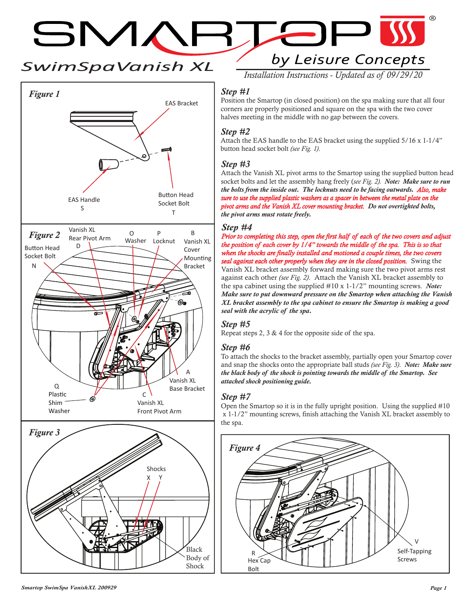*SwimSpaVanish XL*

SMARTE



by Leisure Concepts *Installation Instructions - Updated as of 09/29/20*

 $\blacksquare$ 

#### *Step #1*

Position the Smartop (in closed position) on the spa making sure that all four corners are properly positioned and square on the spa with the two cover halves meeting in the middle with no gap between the covers.

## *Step #2*

Attach the EAS handle to the EAS bracket using the supplied 5/16 x 1-1/4" button head socket bolt *(see Fig. 1)*.

## *Step #3*

Attach the Vanish XL pivot arms to the Smartop using the supplied button head socket bolts and let the assembly hang freely (*see Fig. 2). Note: Make sure to run the bolts from the inside out. The locknuts need to be facing outwards. Also, make sure to use the supplied plastic washers as a spacer in between the metal plate on the pivot arms and the Vanish XL cover mounting bracket. Do not overtighted bolts, the pivot arms must rotate freely.*

#### *Step #4*

*Prior to completing this step, open the first half of each of the two covers and adjust the position of each cover by 1/4" towards the middle of the spa. This is so that when the shocks are finally installed and motioned a couple times, the two covers seal against each other properly when they are in the closed position.* Swing the Vanish XL bracket assembly forward making sure the two pivot arms rest against each other *(see Fig. 2)*. Attach the Vanish XL bracket assembly to the spa cabinet using the supplied #10 x 1-1/2" mounting screws. *Note: Make sure to put downward pressure on the Smartop when attaching the Vanish XL bracket assembly to the spa cabinet to ensure the Smartop is making a good seal with the acrylic of the spa.*

## *Step #5*

Repeat steps 2, 3 & 4 for the opposite side of the spa.

## *Step #6*

To attach the shocks to the bracket assembly, partially open your Smartop cover and snap the shocks onto the appropriate ball studs *(see Fig. 3)*. *Note: Make sure the black body of the shock is pointing towards the middle of the Smartop. See attached shock positioning guide.*

## *Step #7*

Open the Smartop so it is in the fully upright position. Using the supplied #10 x 1-1/2" mounting screws, finish attaching the Vanish XL bracket assembly to the spa.